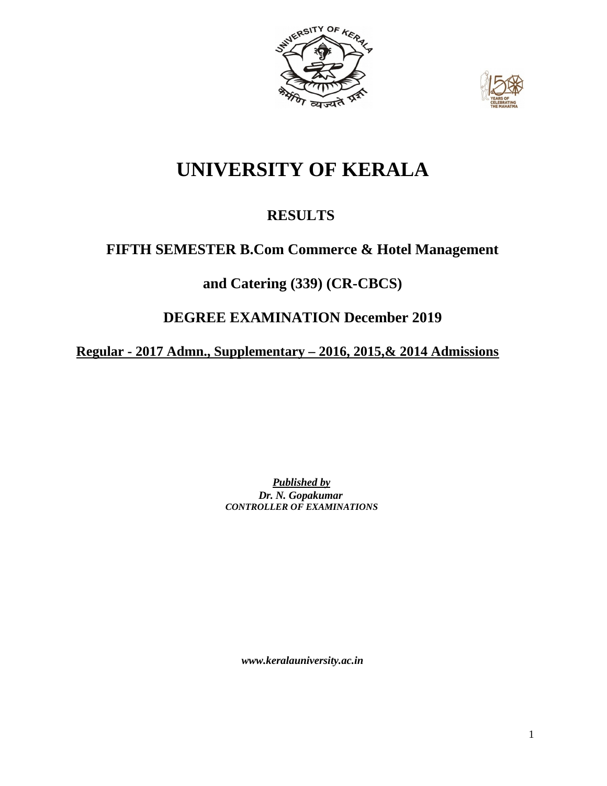



# **UNIVERSITY OF KERALA**

# **RESULTS**

# **FIFTH SEMESTER B.Com Commerce & Hotel Management**

# **and Catering (339) (CR-CBCS)**

## **DEGREE EXAMINATION December 2019**

**Regular - 2017 Admn., Supplementary – 2016, 2015,& 2014 Admissions**

*Published by Dr. N. Gopakumar CONTROLLER OF EXAMINATIONS*

*[www.keralauniversity.ac.in](http://www.keralauniversity.ac.in/)*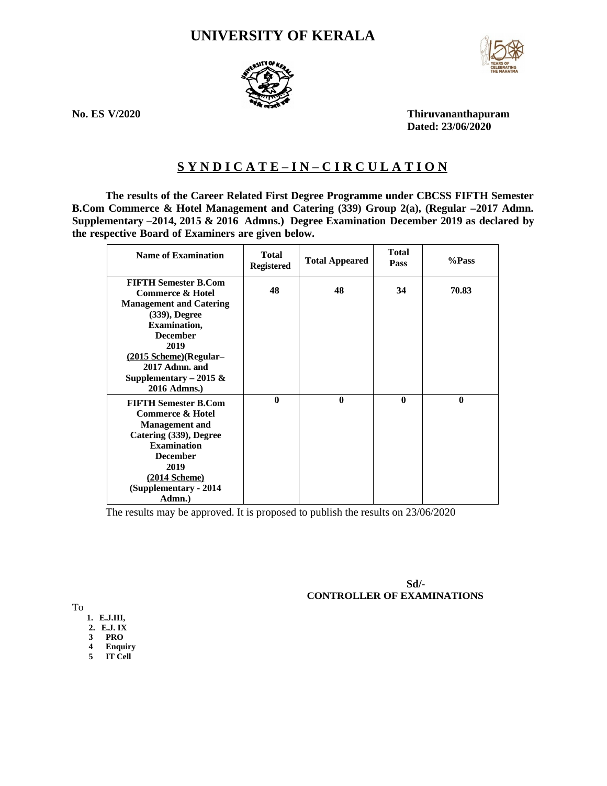### **UNIVERSITY OF KERALA**



**No. ES V/2020 Thiruvananthapuram Dated: 23/06/2020**

### **S Y N D I C A T E – I N – C I R C U L A T I O N**

**The results of the Career Related First Degree Programme under CBCSS FIFTH Semester B.Com Commerce & Hotel Management and Catering (339) Group 2(a), (Regular –2017 Admn. Supplementary –2014, 2015 & 2016 Admns.) Degree Examination December 2019 as declared by the respective Board of Examiners are given below.**

| <b>Name of Examination</b>                                                                | <b>Total</b><br>Registered | <b>Total Appeared</b> | <b>Total</b><br><b>Pass</b> | %Pass        |
|-------------------------------------------------------------------------------------------|----------------------------|-----------------------|-----------------------------|--------------|
| <b>FIFTH Semester B.Com</b><br><b>Commerce &amp; Hotel</b>                                | 48                         | 48                    | 34                          | 70.83        |
| <b>Management and Catering</b><br>(339), Degree<br><b>Examination,</b><br><b>December</b> |                            |                       |                             |              |
| 2019<br>(2015 Scheme) (Regular-<br>2017 Admn. and                                         |                            |                       |                             |              |
| Supplementary - 2015 &<br>2016 Admns.)                                                    |                            |                       |                             |              |
| <b>FIFTH Semester B.Com</b><br><b>Commerce &amp; Hotel</b><br><b>Management and</b>       | $\bf{0}$                   | $\mathbf{0}$          | $\mathbf{0}$                | $\mathbf{0}$ |
| Catering (339), Degree<br><b>Examination</b>                                              |                            |                       |                             |              |
| <b>December</b><br>2019<br>(2014 Scheme)                                                  |                            |                       |                             |              |
| (Supplementary - 2014<br>Admn.)                                                           |                            |                       |                             |              |

The results may be approved. It is proposed to publish the results on 23/06/2020

**Sd/- CONTROLLER OF EXAMINATIONS**

To

- **1. E.J.III,**
- **2. E.J. IX**
- **3 PRO**
- **4 Enquiry 5 IT Cell**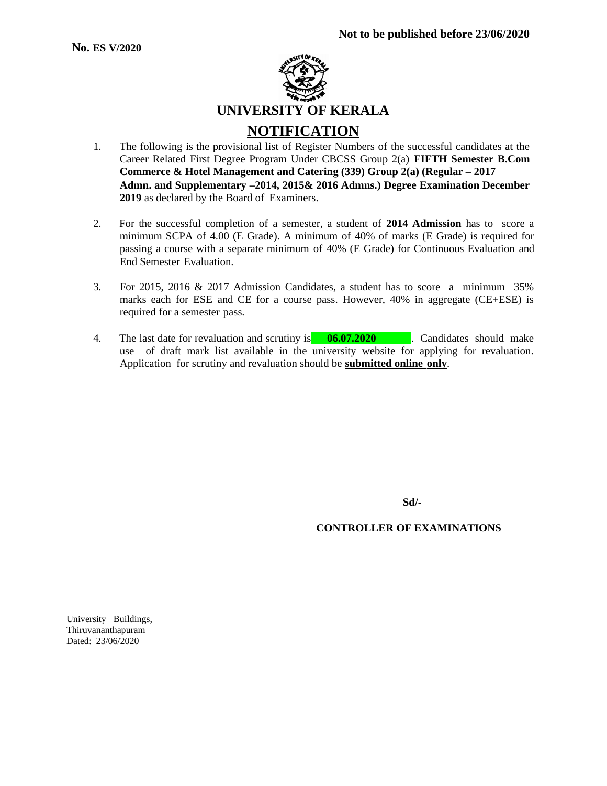

- 1. The following is the provisional list of Register Numbers of the successful candidates at the Career Related First Degree Program Under CBCSS Group 2(a) **FIFTH Semester B.Com Commerce & Hotel Management and Catering (339) Group 2(a) (Regular – 2017 Admn. and Supplementary –2014, 2015& 2016 Admns.) Degree Examination December 2019** as declared by the Board of Examiners.
- 2. For the successful completion of a semester, a student of **2014 Admission** has to score a minimum SCPA of 4.00 (E Grade). A minimum of 40% of marks (E Grade) is required for passing a course with a separate minimum of 40% (E Grade) for Continuous Evaluation and End Semester Evaluation.
- 3. For 2015, 2016 & 2017 Admission Candidates, a student has to score a minimum 35% marks each for ESE and CE for a course pass. However, 40% in aggregate (CE+ESE) is required for a semester pass.
- 4. The last date for revaluation and scrutiny is **06.07.2020** . Candidates should make use of draft mark list available in the university website for applying for revaluation. Application for scrutiny and revaluation should be **submitted online only**.

**Sd/-**

#### **CONTROLLER OF EXAMINATIONS**

University Buildings, Thiruvananthapuram Dated: 23/06/2020